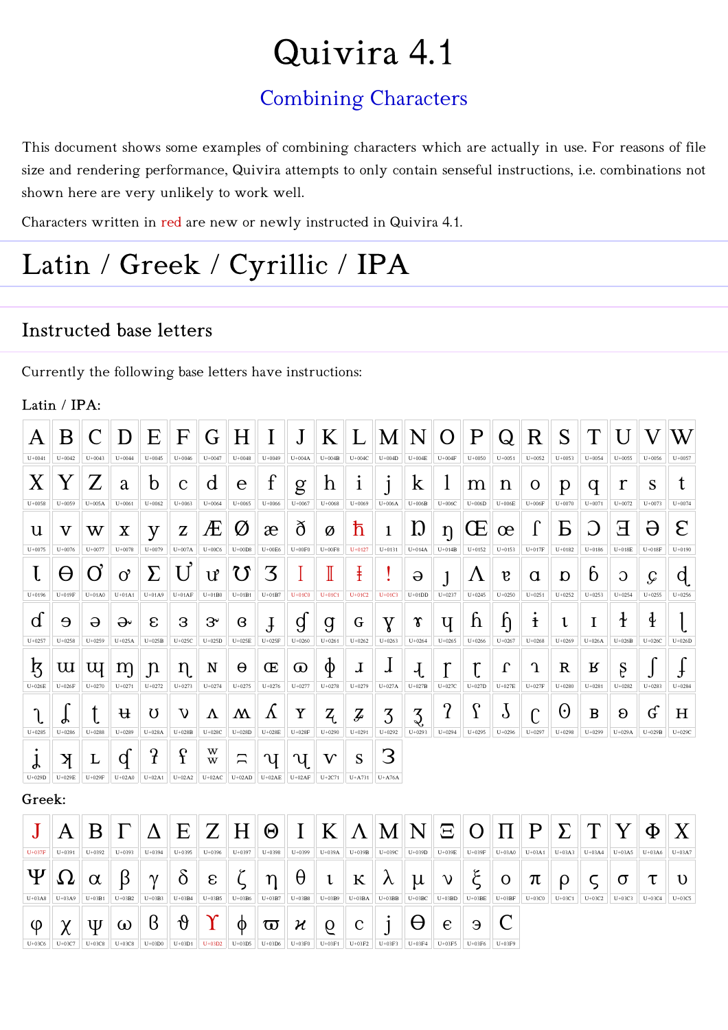# Quivira 4.1

### **Combining Characters**

This document shows some examples of combining characters which are actually in use. For reasons of file size and rendering performance, Quivira attempts to only contain senseful instructions, i.e. combinations not shown here are very unlikely to work well.

Characters written in red are new or newly instructed in Quivira 4.1.

### Latin / Greek / Cyrillic / IPA

#### **Instructed base letters**

Currently the following base letters have instructions:

#### Latin / IPA:

| Α           | B                         | $\mathsf{C}$     | D                            | E                         | F             | G                     | Η                    | I                        | ${\rm J}$                | K                         | $\mathbf{L}$    | M               | N                                  | $\overline{O}$         | $\mathbf P$                    | Q               | $\rm R$      | S                      | T               | U              |               | W             |
|-------------|---------------------------|------------------|------------------------------|---------------------------|---------------|-----------------------|----------------------|--------------------------|--------------------------|---------------------------|-----------------|-----------------|------------------------------------|------------------------|--------------------------------|-----------------|--------------|------------------------|-----------------|----------------|---------------|---------------|
| $U + 0041$  | $U + 0042$                | $U + 0043$       | $U + 0044$                   | $U + 0045$                | $U + 0046$    | $U + 0047$            | $U + 0048$           | $U + 0049$               | $U+004A$                 | $U+004B$                  | $U+004C$        | $U+004D$        | $_{\rm U+004E}$                    | $U+004F$               | $U + 0050$                     | $U + 0051$      | $U + 0052$   | $U + 0053$             | $U + 0054$      | $U + 0055$     | $U + 0056$    | $U + 0057$    |
| $\rm X$     | Y                         | $\boldsymbol{Z}$ | a                            | $\mathbf b$               | $\mathbf C$   | d                     | е                    | $\mathbf f$              | g                        | $\boldsymbol{\mathrm{h}}$ | $\mathbf{1}$    | $\mathbf{1}$    | $\bf k$                            |                        | m                              | $\mathbf n$     | O            | p                      | q               | $\mathbf r$    | S             |               |
| $U + 0058$  | $U + 0059$                | $U+005A$         | $U + 0061$                   | $U + 0062$                | $U + 0063$    | $U + 0064$            | $U + 0065$           | $U + 0066$               | $U + 0067$               | $U + 0068$                | $U + 0069$      | $_{\rm U+006A}$ | $U+006B$                           | $U+006C$               | $U+006D$                       | $_{\rm U+006E}$ | $U+006F$     | $U + 0070$             | $U + 0071$      | $U + 0072$     | $U + 0073$    | $U + 0074$    |
| $\mathbf u$ | $\boldsymbol{\mathrm{V}}$ | W                | $\overline{\textbf{X}}$      | y                         | Z             | Æ                     | Ø                    | æ                        | ð                        | Ø                         | ħ               | $\mathbf{1}$    | Ŋ                                  | $\eta$                 | Œ                              | œ               | $\bf{l}$     | Б                      |                 | Е              | Э             | E             |
| $U + 0075$  | $U + 0076$                | $U + 0077$       | $U + 0078$                   | $U + 0079$                | $U+007A$      | $U+00C6$              | $U+00D8$             | $U+00E6$                 | $U+00F0$                 | $U+00F8$                  | $U+0127$        | $U + 0131$      | $U+014A$                           | $U+014B$               | $U + 0152$                     | $U + 0153$      | $U+017F$     | $U + 0182$             | $U + 0186$      | $U+018E$       | $U+018F$      | $U + 0190$    |
|             | θ                         | <b>C</b>         | 0,                           | $\pmb{\Sigma}$            | U             | $\mathbf{u}^{\prime}$ | U                    | $\mathcal{Z}$            |                          | $\mathbb I$               | ŧ               |                 | $\Theta$                           | J                      | Λ                              | $\mathfrak{v}$  | α            | ŋ                      | b               | $\overline{O}$ | $\mathcal G$  | q             |
| $U + 0196$  | $U+019F$                  | $U+01A0$         | $U+01A1$                     | $U+01A9$                  | $U+01AF$      | $U+01B0$              | $U+01B1$             | $U+01B7$                 | $U+01CO$                 | $U+01C1$                  | $U+01C2$        | $U+01C3$        | $U+01DD$                           | $U + 0237$             | $U + 0245$                     | $U + 0250$      | $U + 0251$   | $U + 0252$             | $U + 0253$      | $U + 0254$     | $U + 0255$    | $U + 0256$    |
| d           | $\Theta$                  | $\Theta$         | ₩                            | $\epsilon$                | 3             | $3^{\circ}$           | B                    | ${\rm J}$                | g                        | g                         | G               | Y               | $\pmb{\gamma}$                     | Ч                      | $\mathbf n$                    | $\mathfrak{h}$  | $\mathbf t$  | ι                      | I               | $\mathbf{f}$   | $\oint$       |               |
| $U + 0257$  | $U + 0258$                | $U + 0259$       | $U+025A$                     | $U+025B$                  | $U+025C$      | $U+025D$              | $U+025E$             | $U+025F$                 | $U + 0260$               | $U + 0261$                | $U + 0262$      | $U + 0263$      | $U + 0264$                         | $U + 0265$             | $U + 0266$                     | $U + 0267$      | $U + 0268$   | $U + 0269$             | $U+026A$        | $U+026B$       | $U+026C$      | $U+026D$      |
| ķ           | $\mathop{\mathrm{u}}$     | Щ                | m                            | $\mathsf{n}$              | $\eta$        | N                     | θ                    | Œ                        | $\bm{\mathsf{\Omega}}$   | φ                         | J               |                 | $\mathcal{A}_{\mathcal{A}}$        |                        | ľ                              | $\Gamma$        | $\mathbf{u}$ | $\mathbf R$            | К               | Ş              |               |               |
| $U+026E$    | $U+026F$                  | $U + 0270$       | $U + 0271$                   | $U+0272$                  | $U + 0273$    | $U + 0274$            | $U + 0275$           | $U + 0276$               | $U + 0277$               | $U + 0278$                | $U + 0279$      | $U+027A$        | $U+027B$                           | $U+027C$               | $U+027D$                       | $U+027E$        | $U+027F$     | $U + 0280$             | $U + 0281$      | $U + 0282$     | $U + 0283$    | $U + 0284$    |
| $U + 0285$  | ሖ<br>$U + 0286$           | $U + 0288$       | $\mathfrak{p}$<br>$U + 0289$ | U<br>$U+028A$             | V<br>$U+028B$ | Λ<br>$U+028C$         | Μ<br>$U+028D$        | Y<br>$U+028E$            | Y<br>$U+028F$            | $Z\llap{.}$<br>$U + 0290$ | Ţ<br>$U + 0291$ | 3<br>$U + 0292$ | $\mathcal{Z}$<br>$U + 0293$        | $\Omega$<br>$U + 0294$ | $\mathbf C$<br>ı<br>$U + 0295$ | J<br>$U + 0296$ | $U + 0297$   | $\Theta$<br>$U + 0298$ | B<br>$U + 0299$ | 8<br>$U+029A$  | G<br>$U+029B$ | Н<br>$U+029C$ |
|             |                           |                  |                              |                           |               |                       |                      |                          |                          |                           |                 |                 |                                    |                        |                                |                 |              |                        |                 |                |               |               |
| $U+029D$    | K<br>$U+029E$             | L<br>$U+029F$    | q<br>$U+02A0$                | $\mathcal{C}$<br>$U+02A1$ | f<br>$U+02A2$ | w<br>w<br>$U+02AC$    | $\Gamma$<br>$U+02AD$ | $\mathbf{u}$<br>$U+02AE$ | $\mathbf{u}$<br>$U+02AF$ | $\rm V$<br>$U+2C71$       | S<br>$U+A731$   | З<br>$U+A76A$   |                                    |                        |                                |                 |              |                        |                 |                |               |               |
| Greek:      |                           |                  |                              |                           |               |                       |                      |                          |                          |                           |                 |                 |                                    |                        |                                |                 |              |                        |                 |                |               |               |
|             |                           |                  |                              |                           |               |                       |                      |                          |                          |                           |                 |                 |                                    |                        |                                |                 |              |                        |                 |                |               |               |
|             | A                         | B                |                              | Δ                         | E             | Z                     | H                    | $\Theta$                 | I                        | K                         | $\Lambda$       | $\bf M$         | $\left\Vert \mathbf{N}\right\Vert$ | $\Xi$                  | O                              | Π               | $\mathbf{P}$ | $\Sigma$               | T               |                | Φ             |               |
| $U+037F$    | $U + 0391$                | $U + 0392$       | $U + 0393$                   | $U + 0394$                | $U + 0395$    | $U + 0396$            | $U + 0397$           | $U + 0398$               | $U + 0399$               | $U+039A$                  | $U+039B$        | $U+039C$        | $U+039D$                           | $U+039E$               | $U+039F$                       | $U+03A0$        | $U+03A1$     | $U+03A3$               | $U+03A4$        | $U+03A5$       | $U+03A6$      | $U+03A7$      |
| Ψ           | 75                        | $\alpha$         | ß                            | $\gamma$                  | Ò             | $\epsilon$            |                      | η                        | θ                        | l                         | К               | $\lambda$       | $\mu$                              | $\mathcal{V}$          | ξ                              | O               | π            | ρ                      |                 | σ              | τ             | υ             |
| $U+03A8$    | $U+03A9$                  | $U+03B1$         | $U+03B2$                     | $U+03B3$                  | $U+03B4$      | $U+03B5$              | $U+03B6$             | $U+03B7$                 | $U+03B8$                 | $U+03B9$                  | $U+03BA$        | $U+03BB$        | $U+03BC$                           | $U+03BD$               | $U+03BE$                       | $U+03BF$        | $U+03C0$     | $U+03C1$               | $U+03C2$        | $U+03C3$       | $U+03C4$      | $U+03C5$      |
| φ           |                           | Ψ                | ω                            | ß                         | $\vartheta$   |                       | Φ                    | $\boldsymbol{\varpi}$    | $\boldsymbol{\varkappa}$ | 6                         | $\rm{c}$        | 1               | θ                                  | $\epsilon$             | Э                              |                 |              |                        |                 |                |               |               |
| $U+03C6$    | $U+03C7$                  | $U+03C8$         | $U+03C8$                     | $U+03D0$                  | $U+03D1$      | $U+03D2$              | $U+03D5$             | $U+03D6$                 | $U+03F0$                 | $U+03F1$                  | $U+03F2$        | $U+03F3$        | $U+03F4$                           | $U+03F5$               | $U+03F6$                       | $U+03F9$        |              |                        |                 |                |               |               |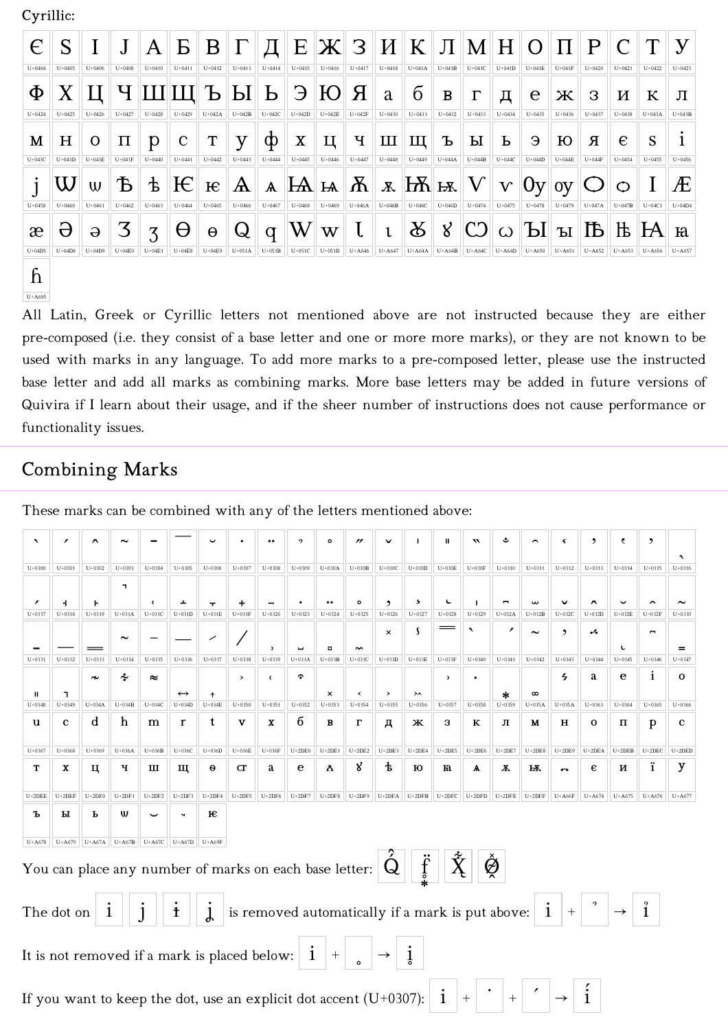Cyrillic:

 $U+A695$ 

| $\epsilon$ | S          |            |                                     | A                        | $\mathbf{E}$           | $B \Gamma$ |              |              |              |            |              |              |                 |                               | $\left  \right  E \left  \mathbf{X} \right  3 \left  \right  K \left  \right  \left  \right  M \left  \right  H \left  \right  O \left  \left  \right  \left  \right  P \right $ |              |                                                                           |            |            | $\overline{C}$ |            |            |
|------------|------------|------------|-------------------------------------|--------------------------|------------------------|------------|--------------|--------------|--------------|------------|--------------|--------------|-----------------|-------------------------------|----------------------------------------------------------------------------------------------------------------------------------------------------------------------------------|--------------|---------------------------------------------------------------------------|------------|------------|----------------|------------|------------|
| $U + 0404$ | $U + 0405$ | $U + 0406$ | $U + 0408$                          | $U + 0410$               | $U + 0411$             | $U + 0412$ | $U + 0413$   | $U + 0414$   | $U + 0415$   | $U + 0416$ | $U + 0417$   | $U + 0418$   | $U+041A$        | $U+041B$                      | $U+041C$                                                                                                                                                                         | $U+041D$     | $U+041E$                                                                  | $U+041F$   | $U + 0420$ | $U + 0421$     | $U+0422$   | $U + 0423$ |
| Φ          |            |            |                                     |                          |                        |            |              |              |              |            | Я            | a            | $\overline{6}$  | B                             | $\Gamma$                                                                                                                                                                         | Д            | e                                                                         | Ж          | 3          | И              | К          | Л          |
| $U + 0424$ | $U + 0425$ | $U + 0426$ | $U + 0427$                          | $U+0428$                 | $U+0429$               | $U+042A$   | $U+042B$     | $U+042C$     | $U+042D$     | $U+042E$   | $U+042F$     | $U+0430$     | $U + 0431$      | $U+0432$                      | $U + 0433$                                                                                                                                                                       | $U + 0434$   | $U+0435$                                                                  | $U + 0436$ | $U + 0437$ | $U + 0438$     | $U+043A$   | $U+043B$   |
| М          | H          | Ω          | П                                   | $\mathfrak{p}$           | $\mathbf{C}$           | T          | y            | Ф            | X            | Ц          | $\mathbf{F}$ | Ш            | Ш               | Ъ                             | Ы                                                                                                                                                                                | Ь            | Э                                                                         | Ю          | Я          | e              | S          |            |
| $U+043C$   | $U+043D$   | $U+043E$   | $U+043F$                            | $U + 0440$               | $U + 0441$             | $U + 0442$ | $U + 0443$   | $U + 0444$   | $U + 0445$   | $U+0446$   | $U + 0447$   | $U+0448$     | $U + 0449$      | $U+044A$                      | $U+044B$                                                                                                                                                                         | $U+044C$     | $U+044D$                                                                  | $U+044E$   | $U+044F$   | $U + 0454$     | $U + 0455$ | $U + 0456$ |
|            |            | W          | $^{\shortparallel}$ $\rm \vec{b}$ . | $\pm$                    | $\mathbb{E}\mathbb{E}$ |            | $\mathbf{A}$ | $\mathbf{A}$ | $\mathbf{A}$ |            | $A\ K\ $     |              |                 | $x$ $\mathbf{K}$ $\mathbf{K}$ | $\mathbb{E} \left[ \left  \mathbf{V} \right  ^{n} \right]$                                                                                                                       | $\mathbf{V}$ | 0v                                                                        | 0V         |            | $\circ$        |            | Æ          |
| $U + 0458$ | $U + 0460$ | $U + 0461$ | $U + 0462$                          | $U+0463$                 | $U + 0464$             | $U + 0465$ | $U + 0466$   | $U + 0467$   | $U + 0468$   | $U + 0469$ | $U+046A$     | $U+046B$     | $U+046C$        | $U+046D$                      | $U + 0474$                                                                                                                                                                       | $U + 0475$   | $U + 0478$                                                                | $U + 0479$ | $U+047A$   | $U+047B$       | $U+04C1$   | $U+04D4$   |
| æ          | Ô          | $\Theta$   |                                     | $\overline{\mathcal{L}}$ | θ                      | $\Theta$   | $\mathsf{Q}$ | $\mathsf{q}$ | $\mathsf{W}$ | W          |              | $\mathbf{t}$ | $ \mathcal{R} $ | $8^{\circ}$                   |                                                                                                                                                                                  |              | $\mathbb{C}$ $\omega$ $\mathbb{L}$ $\mathbb{L}$ $\mathbb{L}$ $\mathbb{L}$ |            |            |                | IА         | a          |
| $U+04D5$   | $U+04D8$   | $U+04D9$   | $U+04E0$                            | $U+04E1$                 | $U+04E8$               | $U+04E9$   | $U+051A$     | $U+051B$     | $U+051C$     | $U+051D$   | $U+A646$     | $U+A647$     | $U+AG4A$        | $U+A64B$                      | $U+A64C$                                                                                                                                                                         | $U+AG4D$     | $U+ A650$                                                                 | $U+A651$   | $U+AG52$   | $U+Ad53$       | $U+Ad56$   | $U+A657$   |
| ĥ          |            |            |                                     |                          |                        |            |              |              |              |            |              |              |                 |                               |                                                                                                                                                                                  |              |                                                                           |            |            |                |            |            |

All Latin, Greek or Cyrillic letters not mentioned above are not instructed because they are either pre-composed (i.e. they consist of a base letter and one or more more marks), or they are not known to be used with marks in any language. To add more marks to a pre-composed letter, please use the instructed base letter and add all marks as combining marks. More base letters may be added in future versions of Quivira if I learn about their usage, and if the sheer number of instructions does not cause performance or functionality issues.

#### **Combining Marks**

ٯ  $\overline{\phantom{a}}$  $\lambda$  $\sim$  $\ddot{\phantom{a}}$  $\overline{2}$  $\circ$  $\mathbf{r}$  $\mathbf{I}$  $\mathbf{u}$  $\mathbf{r}$  $\sim$  $\zeta$  $\overline{\phantom{a}}$  $\epsilon$ Ŀ,  $U+0300$  $U+0301$  $U+0302$  $U+0303$  $U+0304$  $U+0305$  $U+0306$  $U+0307$  $U+0308$  $U+0309$  $U+030A$  $U+030B$  $U+030C$  $U+030D$  $U+030E$  $U+030F$  $U+0310$  $U+0311$  $U+0312$  $U+0313$  $U+0314$  $U+0315$  $U+0316$ Ŀ,  $\overline{A}$  $\mathbf{L}$  $\mathbf{r}$ ÷.  $\sim$  $\overline{\phantom{a}}$  $\ddot{\phantom{1}}$  $\epsilon$  $\mathbf{I}$  $\overline{a}$  $\cdot$  .  $\lambda$  $\sim$  $U+031C$  $U+031D$  $U+031E$  $U+031F$  $U+0330$  $U + 0317$  $U+0318$  $U+0319$  $U+031A$  $U + 0320$  $U + 0323$  $U + 0324$  $U+0325$  $U+0326$  $U+0327$  $U + 0328$  $U + 0329$  $U+032A$  $U+032B$  $U + 032$  $U+032D$  $U+032E$  $U+032F$ S  $\overline{\phantom{a}}$ ,  $\mathcal{L}_{\bullet}$  $\mathbf{x}$  $\sim$  $\overline{\phantom{a}}$  $\blacksquare$  $\sim$  $\overline{\phantom{0}}$  $\mathbf{L}$  $\overline{a}$  $U+0331$  $U+0332$  $U+0333$  $U+0334$  $U+0335$  $U+0336$  $U+0337$  $U + 0338$  $U+0339$  $U+033A$  $U+033B$  $U+033C$  $U+033D$  $U+033E$  $U+033F$  $U + 0340$  $U+0341$  $U+0342$  $U+0343$  $U+0344$  $U+0345$  $U+0346$  $U + 034$  $\mathbf{i}$ يم  $\epsilon$  $\overline{z}$ a  $\mathbf{e}$  $\mathbf{o}$  $\tilde{\phantom{a}}$  $\approx$  $\lambda$  $\epsilon$  $\ddot{\phantom{0}}$  $\overline{\phantom{a}}$  $\mathbf{u}$  $\mathbf{I}$  $\mathbf{x}$  $\rightarrow$  $\lambda$  $\infty$  $\rightarrow$  $\ast$  $U+034A$  $U+034B$  $U+034C$  $U+034D$  $U+034E$  $U + 0350$  $U + 0351$  $U + 0352$  $U + 0358$  $U+035A$  $U+0363$  $U+0364$  $U+0365$  $U+0366$  $U + 0348$  $U+0349$  $U + 0353$  $U + 0354$  $U+0355$  $U + 0356$  $U + 0357$  $U + 0359$  $U+035A$ б  $\mathbf{u}$  $\mathbf c$ <sub>d</sub> h m  $\mathbf{r}$  $\mathbf t$  $\overline{\mathbf{v}}$  $\mathbf{x}$  $\overline{B}$  $\Gamma$ д Ж 3  $\mathbf{K}$  $\mathbf \Pi$ M  $H$  $\Omega$  $\Pi$ p  $\mathbf{c}$  $U + 0367$  $U+0368$  $U + 0369$  $U+036A$  $U+036B$  $U + 0360$  $U+036D$  $U+036E$  $U+036F$  $U+2DE$  $U+2DE1$  $U+2DE2$  $U+2DE$  $U+2DE4$  $U+2DE5$  $U+2DE$  $U+2DE$  $U+2DE8$  $U+2DE$  $U+2DEA$  $U+2DEB$  $U+2DEC$  $U+2$ DED  $\mathbf{g}$  $\ddagger$ ï y  $\mathbf T$  $\mathbf{x}$ Ц Ч  $\mathbf{m}$ Щ  $\ddot{\theta}$  $\sigma$ a e Å ю  $\mathbf{B}$  $\overline{\mathbf{X}}$  $\overline{\mathbf{R}}$  $\epsilon$  $\overline{\mathbf{M}}$  $\mathbf{A}$  $\sim$  $U+2DEF$  $U+2DEF$  $U+2DE$  $U+2DF$  $U+2DF$  $U+2DF<sub>4</sub>$  $U+2DF5$  $U+2DF6$  $U+2DF7$  $U+2DF8$  $U+2DF9$  $U+2DFA$  $U+2DFB$  $U+2DFC$  $\overline{\text{U+2DFD}}$  $U+2DFE$  $U+2DFF$  $U+AG6F$  $U+A674$  $U+A675$  $U+A676$  $U+A677$  $H+2DE$ ጜ  $\mathbf{H}$  $\mathbf{u}$  $E$ Ь  $\ddot{\phantom{0}}$  $U+A679$  $\boxed{\text{U+}\text{A}67\text{A}}$  $U+A67C$  $\overline{U+A67D}$   $U+A69F$  $U+A678$ You can place any number of marks on each base letter:  $|\, \acute{\text{Q}}$  $\hat{\varnothing}$  $\hat{1}$  $\mathbf{i}$  $\mathbf{i}$ is removed automatically if a mark is put above: The dot on  $\mathbf{i}$ It is not removed if a mark is placed below:  $\overline{1}$ į  $\frac{7}{1}$ If you want to keep the dot, use an explicit dot accent  $(U+0307)$ :  $\mathbf{i}$  $\overline{+}$ 

These marks can be combined with any of the letters mentioned above: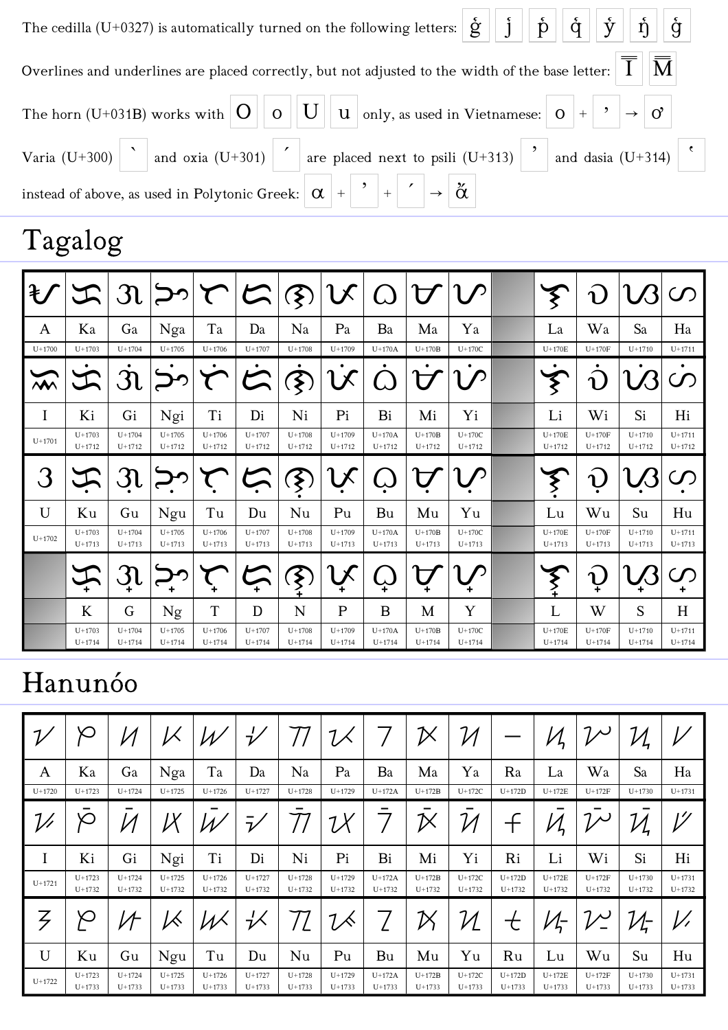| The cedilla (U+0327) is automatically turned on the following letters: $\left \xi\right  \left j\right  \left j\right  \left j\right  \left j\right  \left j\right $                                                                                                                                                                                                            |
|---------------------------------------------------------------------------------------------------------------------------------------------------------------------------------------------------------------------------------------------------------------------------------------------------------------------------------------------------------------------------------|
| Overlines and underlines are placed correctly, but not adjusted to the width of the base letter: $ \overline{\overline{\mathrm{I}}}\,  \overline{\overline{\mathrm{M}}}\, $                                                                                                                                                                                                     |
| The horn (U+031B) works with $\begin{vmatrix} 0 \\ 0 \end{vmatrix}$ $\begin{vmatrix} 0 \\ 0 \end{vmatrix}$ $\begin{vmatrix} 1 \\ 0 \end{vmatrix}$ $\begin{vmatrix} 0 \\ 1 \end{vmatrix}$ and $\begin{vmatrix} 0 \\ 1 \end{vmatrix}$ as used in Vietnamese: $\begin{vmatrix} 0 \\ 1 \end{vmatrix}$ $\begin{vmatrix} 0 \\ 1 \end{vmatrix}$ $\begin{vmatrix} 0 \\ 0 \end{vmatrix}$ |
| Varia (U+300) and oxia (U+301) are placed next to psili (U+313) $\boxed{\phantom{\big }}$ and dasia (U+314) $\boxed{\phantom{\big }}$                                                                                                                                                                                                                                           |
| instead of above, as used in Polytonic Greek: $\left \alpha\right  + \left \right  + \left \left \right  + \left \right  + \left \right  \stackrel{\times}{\alpha}\right $                                                                                                                                                                                                      |

## Tagalog

| $\ddagger$ | $\mathcal{L}$          | $\mathfrak{R}$         |                        | T                        | $\mathcal{L}$            | $\sqrt{3}$               |                        |                        |                        |                        | ₹                      | $\mathbf{v}$           |                          |                          |
|------------|------------------------|------------------------|------------------------|--------------------------|--------------------------|--------------------------|------------------------|------------------------|------------------------|------------------------|------------------------|------------------------|--------------------------|--------------------------|
| A          | Ka                     | Ga                     | Nga                    | Ta                       | Da                       | Na                       | Pa                     | Ba                     | Ma                     | Ya                     | La                     | Wa                     | Sa                       | Ha                       |
| $U + 1700$ | $U+1703$               | $U+1704$               | $U+1705$               | $U+1706$                 | $U + 1707$               | $U+1708$                 | $U+1709$               | $U+170A$               | $U+170B$               | $U+170C$               | $U+170E$               | $U+170F$               | $U + 1710$               | $U + 1711$               |
| $\sum$     |                        | $\mathfrak{R}$         | ٠                      | T                        | 六                        | $\dot{\mathfrak{F}}$     | <b>LX</b>              |                        | ٠                      |                        | ٠<br>$\zeta$           | $\mathbf{R}$           |                          | ٠<br>$\mathcal{O}$       |
| I          | Ki                     | Gi                     | Ngi                    | Ti                       | Di                       | Ni                       | Pi                     | Bi                     | Mi                     | Yi                     | Li                     | Wi                     | Si                       | Hi                       |
| $U + 1701$ | $U+1703$<br>$U + 1712$ | $U+1704$<br>$U+1712$   | $U+1705$<br>$U + 1712$ | $U+1706$<br>$U+1712$     | $U + 1707$<br>$U + 1712$ | $U+1708$<br>$U+1712$     | $U+1709$<br>$U+1712$   | $U+170A$<br>$U + 1712$ | $U+170B$<br>$U + 1712$ | $U+170C$<br>$U + 1712$ | $U+170E$<br>$U + 1712$ | $U+170F$<br>$U + 1712$ | $U + 1710$<br>$U + 1712$ | $U + 1711$<br>$U + 1712$ |
|            | エ                      | $\mathfrak{R}$         |                        |                          | $\sum$                   | $\bm{\hat{\xi}}$         |                        |                        |                        |                        | ℥                      | $\mathbf{a}$           |                          |                          |
| U          | Ku                     | Gu                     | Ngu                    | Tu                       | Du                       | Nu                       | Pu                     | Bu                     | Mu                     | Yu                     | Lu                     | Wu                     | Su                       | Hu                       |
| $U + 1702$ | $U+1703$<br>$U+1713$   | $U+1704$<br>$U+1713$   | $U+1705$<br>$U+1713$   | $U + 1706$<br>$U + 1713$ | $U + 1707$<br>$U + 1713$ | $U+1708$<br>$U+1713$     | $U + 1709$<br>$U+1713$ | $U+170A$<br>$U+1713$   | $U+170B$<br>$U + 1713$ | $U+170C$<br>$U+1713$   | $U+170E$<br>$U+1713$   | $U+170F$<br>$U + 1713$ | $U + 1710$<br>$U+1713$   | $U + 1711$<br>$U+1713$   |
|            |                        | $\mathfrak{R}$         |                        |                          | 一                        | $\sum_{i=1}^{n}$         |                        |                        |                        |                        | $\sum_{\pm}$           | $\mathbf{u}$           |                          | $\mathcal{S}$<br>٠       |
|            | K                      | G                      | Ng                     | $\mathbf T$              | D                        | N                        | $\mathbf{P}$           | B                      | M                      | Y                      | L                      | W                      | S                        | H                        |
|            | $U+1703$<br>$U+1714$   | $U+1704$<br>$U + 1714$ | $U + 1705$<br>$U+1714$ | $U+1706$<br>$U + 1714$   | $U + 1707$<br>$U + 1714$ | $U + 1708$<br>$U + 1714$ | $U+1709$<br>$U+1714$   | $U+170A$<br>$U+1714$   | $U+170B$<br>$U + 1714$ | $U+170C$<br>$U + 1714$ | $U+170E$<br>$U+1714$   | $U+170F$<br>$U + 1714$ | $U + 1710$<br>$U+1714$   | $U + 1711$<br>$U + 1714$ |

### Hanunóo

| $\mathcal{L}$ | $\infty$             |                        |                      |                        | ŀ                      |                      |                        |                      | ${\boldsymbol{\mathcal{V}}}$ |                          |                      | $\mathcal{V}$        | ${\cal V}$           | ${\cal U}$<br>4          |                        |
|---------------|----------------------|------------------------|----------------------|------------------------|------------------------|----------------------|------------------------|----------------------|------------------------------|--------------------------|----------------------|----------------------|----------------------|--------------------------|------------------------|
| A             | Ka                   | Ga                     | Nga                  | Ta                     | Da                     | Na                   | Pa                     | Ba                   | Ma                           | Ya                       | Ra                   | La                   | Wa                   | Sa                       | Ha                     |
| $U+1720$      | $U+1723$             | $U + 1724$             | $U+1725$             | $U + 1726$             | $U + 1727$             | $U+1728$             | $U + 1729$             | $U+172A$             | $U+172B$                     | $U+172C$                 | $U+172D$             | $U+172E$             | $U+172F$             | $U + 1730$               | $U+1731$               |
|               | $\infty$             |                        | ӀХ                   |                        | -<br>$\mathcal{V}$     |                      | ${\cal U}$             |                      | ${\boldsymbol{\mathcal{V}}}$ |                          | ╼                    | ካ                    | $\mathcal{V}$        | $\mathcal{U}_\mathsf{r}$ | 1                      |
| I             | Ki                   | Gi                     | Ngi                  | Ti                     | Di                     | Ni                   | Pi                     | Bi                   | Mi                           | Yi                       | Ri                   | Li                   | Wi                   | Si                       | Hi                     |
| $U+1721$      | $U+1723$<br>$U+1732$ | $U + 1724$<br>$U+1732$ | $U+1725$<br>$U+1732$ | $U+1726$<br>$U+1732$   | $U+1727$<br>$U+1732$   | $U+1728$<br>$U+1732$ | $U + 1729$<br>$U+1732$ | $U+172A$<br>$U+1732$ | $U+172B$<br>$U+1732$         | $U+172C$<br>$U + 1732$   | $U+172D$<br>$U+1732$ | $U+172E$<br>$U+1732$ | $U+172F$<br>$U+1732$ | $U + 1730$<br>$U+1732$   | $U+1731$<br>$U+1732$   |
|               | $\infty$             | 4                      | К                    |                        | ∹∕≺                    |                      |                        |                      | ${\boldsymbol{\mathcal{V}}}$ | $\overline{\mathcal{U}}$ | 七                    | $\mathcal{U}_7$      |                      | $\mathcal{U}_\tau$       |                        |
| $\mathbf U$   | Ku                   | Gu                     | Ngu                  | Tu                     | Du                     | Nu                   | Pu                     | Bu                   | Mu                           | Yu                       | Ru                   | Lu                   | Wu                   | Su                       | Hu                     |
| $U+1722$      | $U+1723$<br>$U+1733$ | $U + 1724$<br>$U+1733$ | $U+1725$<br>$U+1733$ | $U + 1726$<br>$U+1733$ | $U + 1727$<br>$U+1733$ | $U+1728$<br>$U+1733$ | $U+1729$<br>$U+1733$   | $U+172A$<br>$U+1733$ | $U+172B$<br>$U+1733$         | $U+172C$<br>$U+1733$     | $U+172D$<br>$U+1733$ | $U+172E$<br>$U+1733$ | $U+172F$<br>$U+1733$ | $U+1730$<br>$U+1733$     | $U + 1731$<br>$U+1733$ |